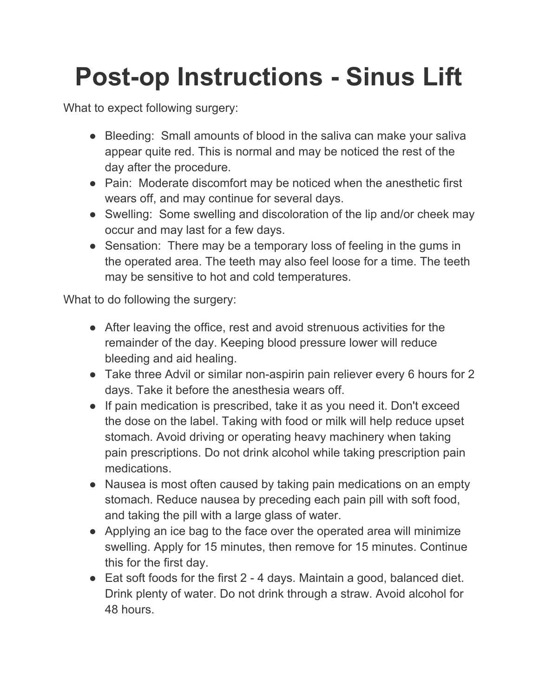## **Post-op Instructions - Sinus Lift**

What to expect following surgery:

- Bleeding: Small amounts of blood in the saliva can make your saliva appear quite red. This is normal and may be noticed the rest of the day after the procedure.
- Pain: Moderate discomfort may be noticed when the anesthetic first wears off, and may continue for several days.
- Swelling: Some swelling and discoloration of the lip and/or cheek may occur and may last for a few days.
- Sensation: There may be a temporary loss of feeling in the gums in the operated area. The teeth may also feel loose for a time. The teeth may be sensitive to hot and cold temperatures.

What to do following the surgery:

- After leaving the office, rest and avoid strenuous activities for the remainder of the day. Keeping blood pressure lower will reduce bleeding and aid healing.
- Take three Advil or similar non-aspirin pain reliever every 6 hours for 2 days. Take it before the anesthesia wears off.
- If pain medication is prescribed, take it as you need it. Don't exceed the dose on the label. Taking with food or milk will help reduce upset stomach. Avoid driving or operating heavy machinery when taking pain prescriptions. Do not drink alcohol while taking prescription pain medications.
- Nausea is most often caused by taking pain medications on an empty stomach. Reduce nausea by preceding each pain pill with soft food, and taking the pill with a large glass of water.
- Applying an ice bag to the face over the operated area will minimize swelling. Apply for 15 minutes, then remove for 15 minutes. Continue this for the first day.
- Eat soft foods for the first 2 4 days. Maintain a good, balanced diet. Drink plenty of water. Do not drink through a straw. Avoid alcohol for 48 hours.